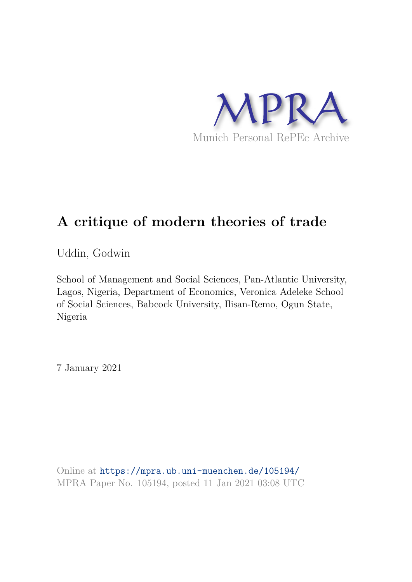

# **A critique of modern theories of trade**

Uddin, Godwin

School of Management and Social Sciences, Pan-Atlantic University, Lagos, Nigeria, Department of Economics, Veronica Adeleke School of Social Sciences, Babcock University, Ilisan-Remo, Ogun State, Nigeria

7 January 2021

Online at https://mpra.ub.uni-muenchen.de/105194/ MPRA Paper No. 105194, posted 11 Jan 2021 03:08 UTC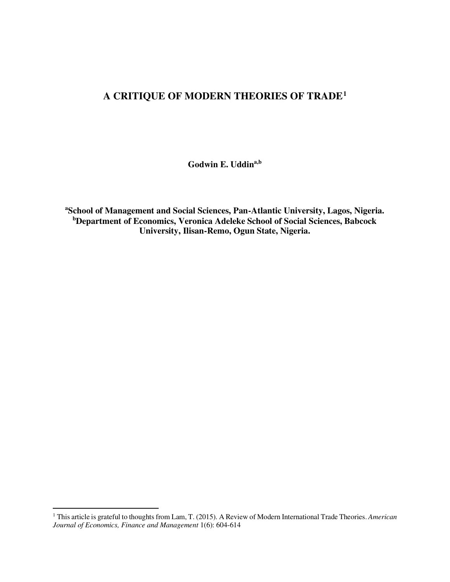## **A CRITIQUE OF MODERN THEORIES OF TRADE<sup>1</sup>**

**Godwin E. Uddina,b**

**<sup>a</sup>School of Management and Social Sciences, Pan-Atlantic University, Lagos, Nigeria. <sup>b</sup>Department of Economics, Veronica Adeleke School of Social Sciences, Babcock University, Ilisan-Remo, Ogun State, Nigeria.** 

<sup>1</sup> This article is grateful to thoughts from Lam, T. (2015). A Review of Modern International Trade Theories. *American Journal of Economics, Finance and Management* 1(6): 604-614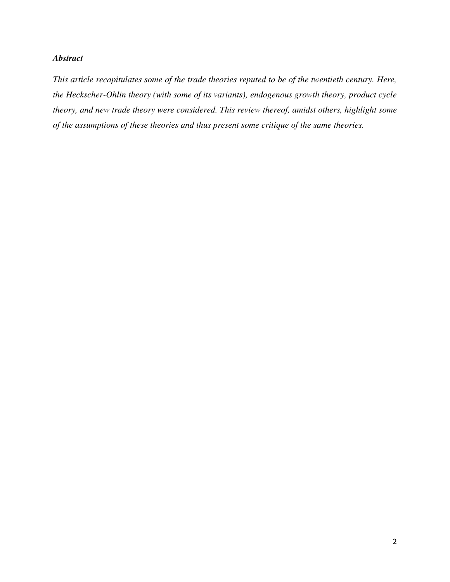### *Abstract*

*This article recapitulates some of the trade theories reputed to be of the twentieth century. Here, the Heckscher-Ohlin theory (with some of its variants), endogenous growth theory, product cycle theory, and new trade theory were considered. This review thereof, amidst others, highlight some of the assumptions of these theories and thus present some critique of the same theories.*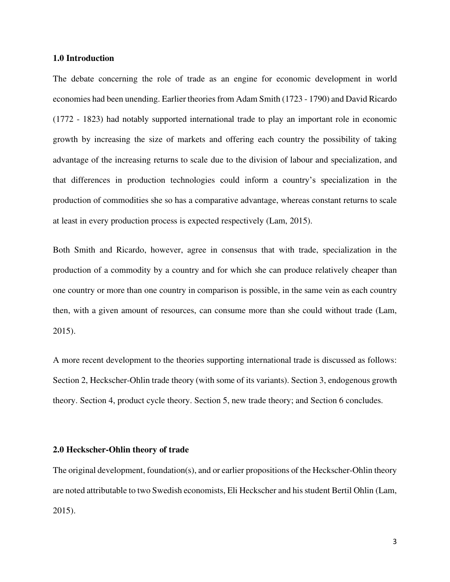#### **1.0 Introduction**

The debate concerning the role of trade as an engine for economic development in world economies had been unending. Earlier theories from Adam Smith (1723 - 1790) and David Ricardo (1772 - 1823) had notably supported international trade to play an important role in economic growth by increasing the size of markets and offering each country the possibility of taking advantage of the increasing returns to scale due to the division of labour and specialization, and that differences in production technologies could inform a country's specialization in the production of commodities she so has a comparative advantage, whereas constant returns to scale at least in every production process is expected respectively (Lam, 2015).

Both Smith and Ricardo, however, agree in consensus that with trade, specialization in the production of a commodity by a country and for which she can produce relatively cheaper than one country or more than one country in comparison is possible, in the same vein as each country then, with a given amount of resources, can consume more than she could without trade (Lam, 2015).

A more recent development to the theories supporting international trade is discussed as follows: Section 2, Heckscher-Ohlin trade theory (with some of its variants). Section 3, endogenous growth theory. Section 4, product cycle theory. Section 5, new trade theory; and Section 6 concludes.

#### **2.0 Heckscher-Ohlin theory of trade**

The original development, foundation(s), and or earlier propositions of the Heckscher-Ohlin theory are noted attributable to two Swedish economists, Eli Heckscher and his student Bertil Ohlin (Lam, 2015).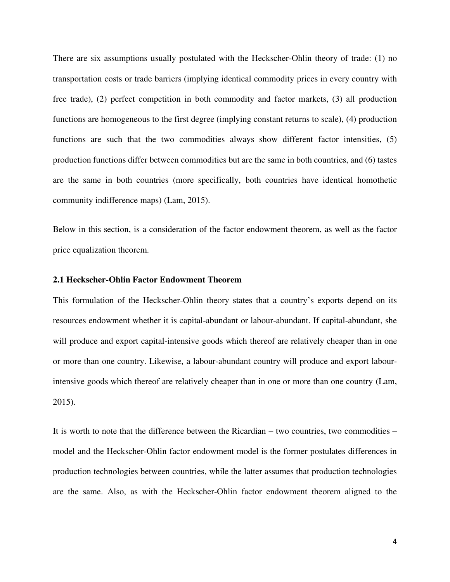There are six assumptions usually postulated with the Heckscher-Ohlin theory of trade: (1) no transportation costs or trade barriers (implying identical commodity prices in every country with free trade), (2) perfect competition in both commodity and factor markets, (3) all production functions are homogeneous to the first degree (implying constant returns to scale), (4) production functions are such that the two commodities always show different factor intensities, (5) production functions differ between commodities but are the same in both countries, and (6) tastes are the same in both countries (more specifically, both countries have identical homothetic community indifference maps) (Lam, 2015).

Below in this section, is a consideration of the factor endowment theorem, as well as the factor price equalization theorem.

#### **2.1 Heckscher-Ohlin Factor Endowment Theorem**

This formulation of the Heckscher-Ohlin theory states that a country's exports depend on its resources endowment whether it is capital-abundant or labour-abundant. If capital-abundant, she will produce and export capital-intensive goods which thereof are relatively cheaper than in one or more than one country. Likewise, a labour-abundant country will produce and export labourintensive goods which thereof are relatively cheaper than in one or more than one country (Lam, 2015).

It is worth to note that the difference between the Ricardian – two countries, two commodities – model and the Heckscher-Ohlin factor endowment model is the former postulates differences in production technologies between countries, while the latter assumes that production technologies are the same. Also, as with the Heckscher-Ohlin factor endowment theorem aligned to the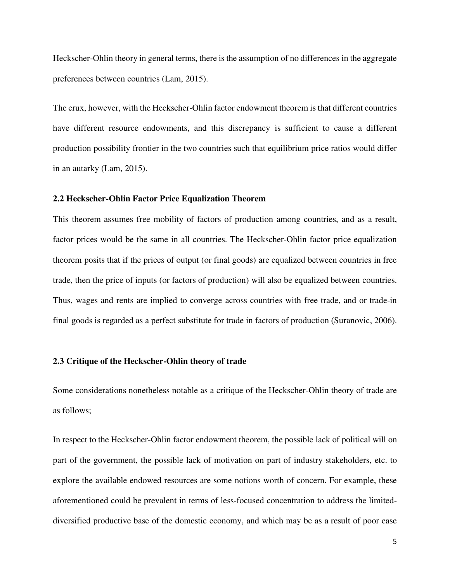Heckscher-Ohlin theory in general terms, there is the assumption of no differences in the aggregate preferences between countries (Lam, 2015).

The crux, however, with the Heckscher-Ohlin factor endowment theorem is that different countries have different resource endowments, and this discrepancy is sufficient to cause a different production possibility frontier in the two countries such that equilibrium price ratios would differ in an autarky (Lam, 2015).

#### **2.2 Heckscher-Ohlin Factor Price Equalization Theorem**

This theorem assumes free mobility of factors of production among countries, and as a result, factor prices would be the same in all countries. The Heckscher-Ohlin factor price equalization theorem posits that if the prices of output (or final goods) are equalized between countries in free trade, then the price of inputs (or factors of production) will also be equalized between countries. Thus, wages and rents are implied to converge across countries with free trade, and or trade-in final goods is regarded as a perfect substitute for trade in factors of production (Suranovic, 2006).

#### **2.3 Critique of the Heckscher-Ohlin theory of trade**

Some considerations nonetheless notable as a critique of the Heckscher-Ohlin theory of trade are as follows;

In respect to the Heckscher-Ohlin factor endowment theorem, the possible lack of political will on part of the government, the possible lack of motivation on part of industry stakeholders, etc. to explore the available endowed resources are some notions worth of concern. For example, these aforementioned could be prevalent in terms of less-focused concentration to address the limiteddiversified productive base of the domestic economy, and which may be as a result of poor ease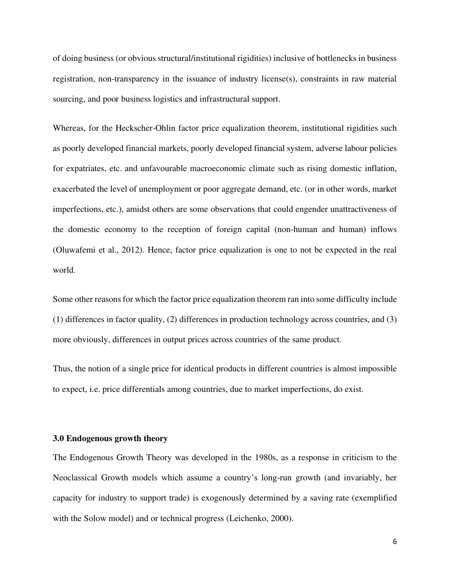of doing business (or obvious structural/institutional rigidities) inclusive of bottlenecks in business registration, non-transparency in the issuance of industry license(s), constraints in raw material sourcing, and poor business logistics and infrastructural support.

Whereas, for the Heckscher-Ohlin factor price equalization theorem, institutional rigidities such as poorly developed financial markets, poorly developed financial system, adverse labour policies for expatriates, etc. and unfavourable macroeconomic climate such as rising domestic inflation, exacerbated the level of unemployment or poor aggregate demand, etc. (or in other words, market imperfections, etc.), amidst others are some observations that could engender unattractiveness of the domestic economy to the reception of foreign capital (non-human and human) inflows (Oluwafemi et al., 2012). Hence, factor price equalization is one to not be expected in the real world.

Some other reasons for which the factor price equalization theorem ran into some difficulty include (1) differences in factor quality, (2) differences in production technology across countries, and (3) more obviously, differences in output prices across countries of the same product.

Thus, the notion of a single price for identical products in different countries is almost impossible to expect, i.e. price differentials among countries, due to market imperfections, do exist.

#### **3.0 Endogenous growth theory**

The Endogenous Growth Theory was developed in the 1980s, as a response in criticism to the Neoclassical Growth models which assume a country's long-run growth (and invariably, her capacity for industry to support trade) is exogenously determined by a saving rate (exemplified with the Solow model) and or technical progress (Leichenko, 2000).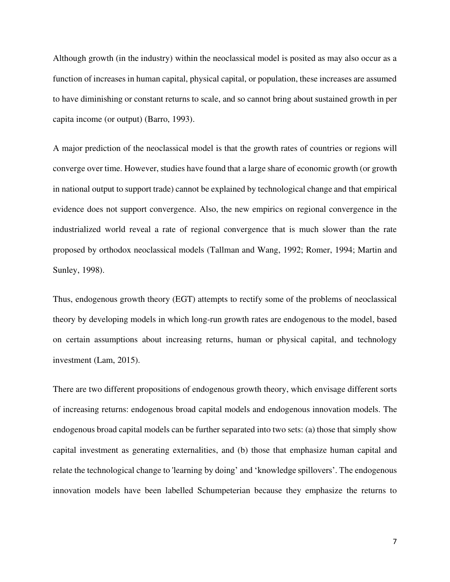Although growth (in the industry) within the neoclassical model is posited as may also occur as a function of increases in human capital, physical capital, or population, these increases are assumed to have diminishing or constant returns to scale, and so cannot bring about sustained growth in per capita income (or output) (Barro, 1993).

A major prediction of the neoclassical model is that the growth rates of countries or regions will converge over time. However, studies have found that a large share of economic growth (or growth in national output to support trade) cannot be explained by technological change and that empirical evidence does not support convergence. Also, the new empirics on regional convergence in the industrialized world reveal a rate of regional convergence that is much slower than the rate proposed by orthodox neoclassical models (Tallman and Wang, 1992; Romer, 1994; Martin and Sunley, 1998).

Thus, endogenous growth theory (EGT) attempts to rectify some of the problems of neoclassical theory by developing models in which long-run growth rates are endogenous to the model, based on certain assumptions about increasing returns, human or physical capital, and technology investment (Lam, 2015).

There are two different propositions of endogenous growth theory, which envisage different sorts of increasing returns: endogenous broad capital models and endogenous innovation models. The endogenous broad capital models can be further separated into two sets: (a) those that simply show capital investment as generating externalities, and (b) those that emphasize human capital and relate the technological change to 'learning by doing' and 'knowledge spillovers'. The endogenous innovation models have been labelled Schumpeterian because they emphasize the returns to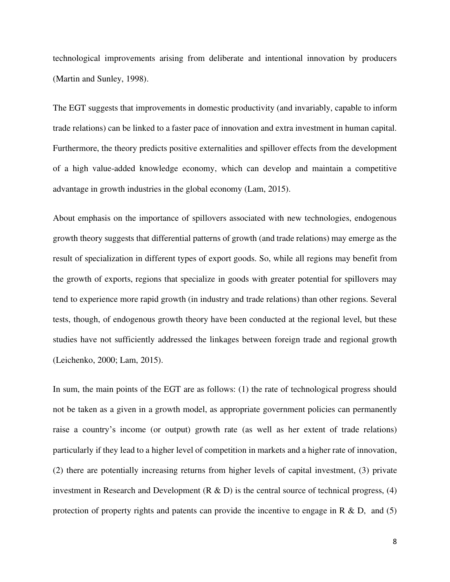technological improvements arising from deliberate and intentional innovation by producers (Martin and Sunley, 1998).

The EGT suggests that improvements in domestic productivity (and invariably, capable to inform trade relations) can be linked to a faster pace of innovation and extra investment in human capital. Furthermore, the theory predicts positive externalities and spillover effects from the development of a high value-added knowledge economy, which can develop and maintain a competitive advantage in growth industries in the global economy (Lam, 2015).

About emphasis on the importance of spillovers associated with new technologies, endogenous growth theory suggests that differential patterns of growth (and trade relations) may emerge as the result of specialization in different types of export goods. So, while all regions may benefit from the growth of exports, regions that specialize in goods with greater potential for spillovers may tend to experience more rapid growth (in industry and trade relations) than other regions. Several tests, though, of endogenous growth theory have been conducted at the regional level, but these studies have not sufficiently addressed the linkages between foreign trade and regional growth (Leichenko, 2000; Lam, 2015).

In sum, the main points of the EGT are as follows: (1) the rate of technological progress should not be taken as a given in a growth model, as appropriate government policies can permanently raise a country's income (or output) growth rate (as well as her extent of trade relations) particularly if they lead to a higher level of competition in markets and a higher rate of innovation, (2) there are potentially increasing returns from higher levels of capital investment, (3) private investment in Research and Development  $(R & D)$  is the central source of technical progress, (4) protection of property rights and patents can provide the incentive to engage in R  $\&$  D, and (5)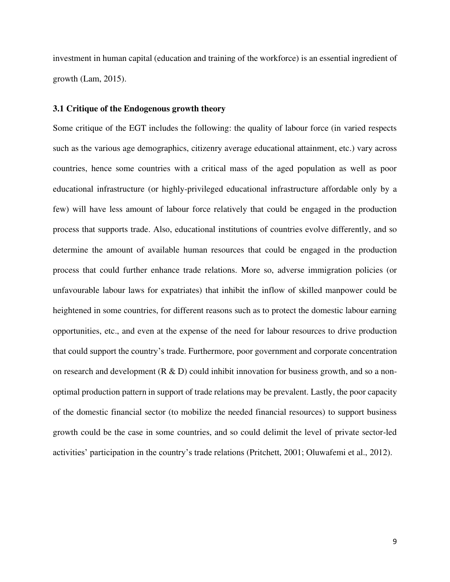investment in human capital (education and training of the workforce) is an essential ingredient of growth (Lam, 2015).

#### **3.1 Critique of the Endogenous growth theory**

Some critique of the EGT includes the following: the quality of labour force (in varied respects such as the various age demographics, citizenry average educational attainment, etc.) vary across countries, hence some countries with a critical mass of the aged population as well as poor educational infrastructure (or highly-privileged educational infrastructure affordable only by a few) will have less amount of labour force relatively that could be engaged in the production process that supports trade. Also, educational institutions of countries evolve differently, and so determine the amount of available human resources that could be engaged in the production process that could further enhance trade relations. More so, adverse immigration policies (or unfavourable labour laws for expatriates) that inhibit the inflow of skilled manpower could be heightened in some countries, for different reasons such as to protect the domestic labour earning opportunities, etc., and even at the expense of the need for labour resources to drive production that could support the country's trade. Furthermore, poor government and corporate concentration on research and development  $(R & D)$  could inhibit innovation for business growth, and so a nonoptimal production pattern in support of trade relations may be prevalent. Lastly, the poor capacity of the domestic financial sector (to mobilize the needed financial resources) to support business growth could be the case in some countries, and so could delimit the level of private sector-led activities' participation in the country's trade relations (Pritchett, 2001; Oluwafemi et al., 2012).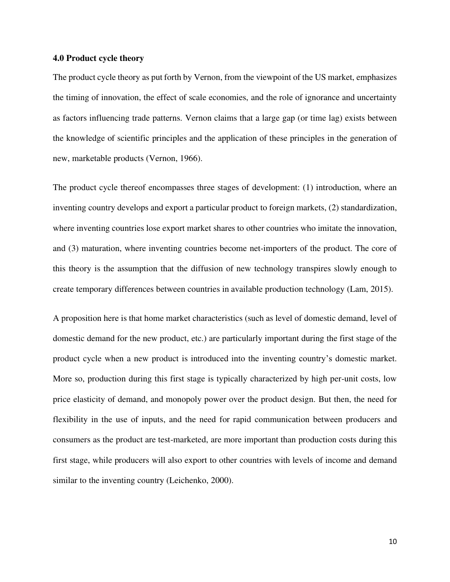#### **4.0 Product cycle theory**

The product cycle theory as put forth by Vernon, from the viewpoint of the US market, emphasizes the timing of innovation, the effect of scale economies, and the role of ignorance and uncertainty as factors influencing trade patterns. Vernon claims that a large gap (or time lag) exists between the knowledge of scientific principles and the application of these principles in the generation of new, marketable products (Vernon, 1966).

The product cycle thereof encompasses three stages of development: (1) introduction, where an inventing country develops and export a particular product to foreign markets, (2) standardization, where inventing countries lose export market shares to other countries who imitate the innovation, and (3) maturation, where inventing countries become net-importers of the product. The core of this theory is the assumption that the diffusion of new technology transpires slowly enough to create temporary differences between countries in available production technology (Lam, 2015).

A proposition here is that home market characteristics (such as level of domestic demand, level of domestic demand for the new product, etc.) are particularly important during the first stage of the product cycle when a new product is introduced into the inventing country's domestic market. More so, production during this first stage is typically characterized by high per-unit costs, low price elasticity of demand, and monopoly power over the product design. But then, the need for flexibility in the use of inputs, and the need for rapid communication between producers and consumers as the product are test-marketed, are more important than production costs during this first stage, while producers will also export to other countries with levels of income and demand similar to the inventing country (Leichenko, 2000).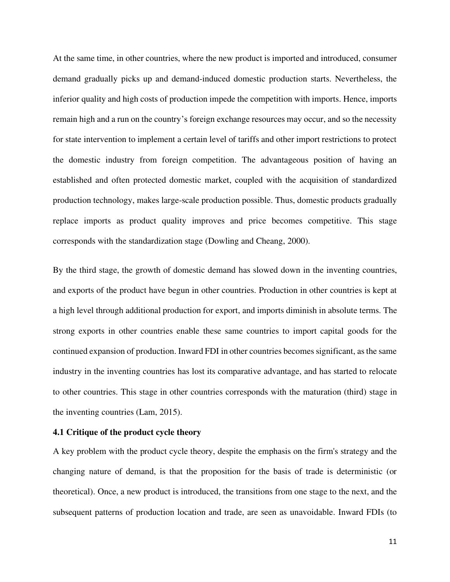At the same time, in other countries, where the new product is imported and introduced, consumer demand gradually picks up and demand-induced domestic production starts. Nevertheless, the inferior quality and high costs of production impede the competition with imports. Hence, imports remain high and a run on the country's foreign exchange resources may occur, and so the necessity for state intervention to implement a certain level of tariffs and other import restrictions to protect the domestic industry from foreign competition. The advantageous position of having an established and often protected domestic market, coupled with the acquisition of standardized production technology, makes large-scale production possible. Thus, domestic products gradually replace imports as product quality improves and price becomes competitive. This stage corresponds with the standardization stage (Dowling and Cheang, 2000).

By the third stage, the growth of domestic demand has slowed down in the inventing countries, and exports of the product have begun in other countries. Production in other countries is kept at a high level through additional production for export, and imports diminish in absolute terms. The strong exports in other countries enable these same countries to import capital goods for the continued expansion of production. Inward FDI in other countries becomes significant, as the same industry in the inventing countries has lost its comparative advantage, and has started to relocate to other countries. This stage in other countries corresponds with the maturation (third) stage in the inventing countries (Lam, 2015).

#### **4.1 Critique of the product cycle theory**

A key problem with the product cycle theory, despite the emphasis on the firm's strategy and the changing nature of demand, is that the proposition for the basis of trade is deterministic (or theoretical). Once, a new product is introduced, the transitions from one stage to the next, and the subsequent patterns of production location and trade, are seen as unavoidable. Inward FDIs (to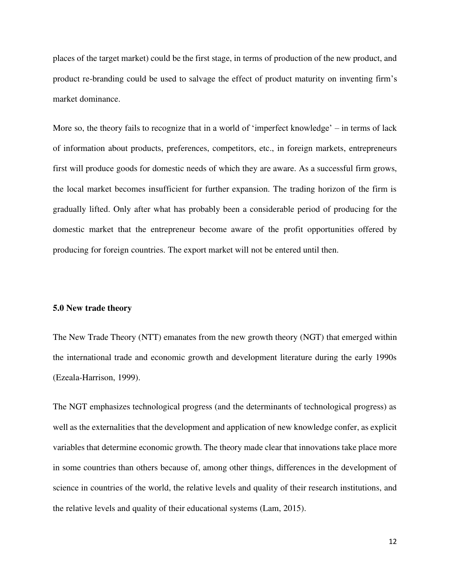places of the target market) could be the first stage, in terms of production of the new product, and product re-branding could be used to salvage the effect of product maturity on inventing firm's market dominance.

More so, the theory fails to recognize that in a world of 'imperfect knowledge' – in terms of lack of information about products, preferences, competitors, etc., in foreign markets, entrepreneurs first will produce goods for domestic needs of which they are aware. As a successful firm grows, the local market becomes insufficient for further expansion. The trading horizon of the firm is gradually lifted. Only after what has probably been a considerable period of producing for the domestic market that the entrepreneur become aware of the profit opportunities offered by producing for foreign countries. The export market will not be entered until then.

#### **5.0 New trade theory**

The New Trade Theory (NTT) emanates from the new growth theory (NGT) that emerged within the international trade and economic growth and development literature during the early 1990s (Ezeala-Harrison, 1999).

The NGT emphasizes technological progress (and the determinants of technological progress) as well as the externalities that the development and application of new knowledge confer, as explicit variables that determine economic growth. The theory made clear that innovations take place more in some countries than others because of, among other things, differences in the development of science in countries of the world, the relative levels and quality of their research institutions, and the relative levels and quality of their educational systems (Lam, 2015).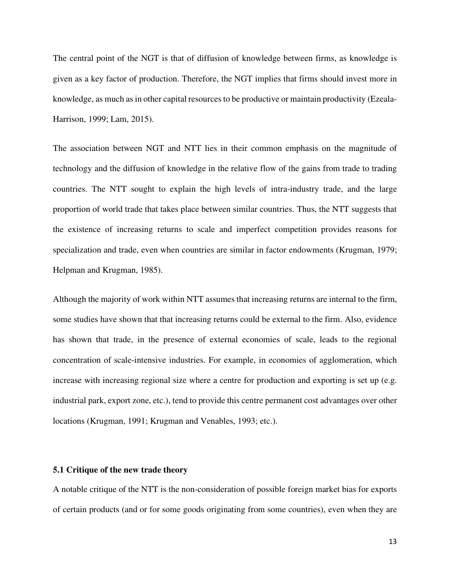The central point of the NGT is that of diffusion of knowledge between firms, as knowledge is given as a key factor of production. Therefore, the NGT implies that firms should invest more in knowledge, as much as in other capital resources to be productive or maintain productivity (Ezeala-Harrison, 1999; Lam, 2015).

The association between NGT and NTT lies in their common emphasis on the magnitude of technology and the diffusion of knowledge in the relative flow of the gains from trade to trading countries. The NTT sought to explain the high levels of intra-industry trade, and the large proportion of world trade that takes place between similar countries. Thus, the NTT suggests that the existence of increasing returns to scale and imperfect competition provides reasons for specialization and trade, even when countries are similar in factor endowments (Krugman, 1979; Helpman and Krugman, 1985).

Although the majority of work within NTT assumes that increasing returns are internal to the firm, some studies have shown that that increasing returns could be external to the firm. Also, evidence has shown that trade, in the presence of external economies of scale, leads to the regional concentration of scale-intensive industries. For example, in economies of agglomeration, which increase with increasing regional size where a centre for production and exporting is set up (e.g. industrial park, export zone, etc.), tend to provide this centre permanent cost advantages over other locations (Krugman, 1991; Krugman and Venables, 1993; etc.).

#### **5.1 Critique of the new trade theory**

A notable critique of the NTT is the non-consideration of possible foreign market bias for exports of certain products (and or for some goods originating from some countries), even when they are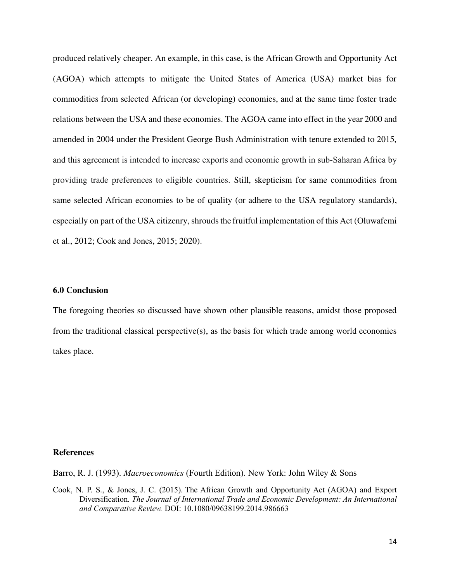produced relatively cheaper. An example, in this case, is the African Growth and Opportunity Act (AGOA) which attempts to mitigate the United States of America (USA) market bias for commodities from selected African (or developing) economies, and at the same time foster trade relations between the USA and these economies. The AGOA came into effect in the year 2000 and amended in 2004 under the President George Bush Administration with tenure extended to 2015, and this agreement is intended to increase exports and economic growth in sub‐Saharan Africa by providing trade preferences to eligible countries. Still, skepticism for same commodities from same selected African economies to be of quality (or adhere to the USA regulatory standards), especially on part of the USA citizenry, shrouds the fruitful implementation of this Act (Oluwafemi et al., 2012; Cook and Jones, 2015; 2020).

#### **6.0 Conclusion**

The foregoing theories so discussed have shown other plausible reasons, amidst those proposed from the traditional classical perspective(s), as the basis for which trade among world economies takes place.

#### **References**

Barro, R. J. (1993). *Macroeconomics* (Fourth Edition). New York: John Wiley & Sons

Cook, N. P. S., & Jones, J. C. (2015). The African Growth and Opportunity Act (AGOA) and Export Diversification*. The Journal of International Trade and Economic Development: An International and Comparative Review.* DOI: 10.1080/09638199.2014.986663